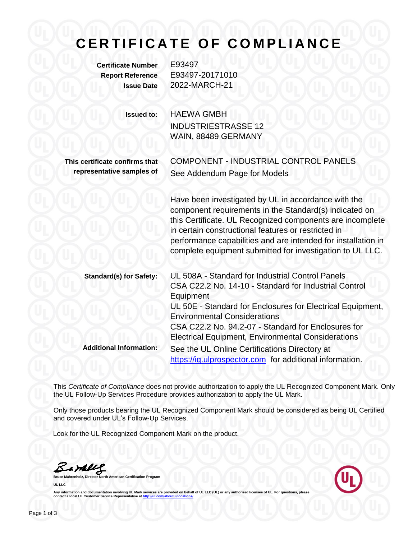# **C E R T I F I C A T E O F C O M P L I A N C E**

**Certificate Number** E93497

**Report Reference** E93497-20171010 **Issue Date** 2022-MARCH-21

**Issued to:** HAEWA GMBH INDUSTRIESTRASSE 12 WAIN, 88489 GERMANY

**This certificate confirms that representative samples of** COMPONENT - INDUSTRIAL CONTROL PANELS See Addendum Page for Models

Have been investigated by UL in accordance with the component requirements in the Standard(s) indicated on this Certificate. UL Recognized components are incomplete in certain constructional features or restricted in performance capabilities and are intended for installation in complete equipment submitted for investigation to UL LLC.

| <b>Standard(s) for Safety:</b> | UL 508A - Standard for Industrial Control Panels           |
|--------------------------------|------------------------------------------------------------|
|                                | CSA C22.2 No. 14-10 - Standard for Industrial Control      |
|                                | Equipment                                                  |
|                                | UL 50E - Standard for Enclosures for Electrical Equipment, |
|                                | <b>Environmental Considerations</b>                        |
|                                | CSA C22.2 No. 94.2-07 - Standard for Enclosures for        |
|                                | <b>Electrical Equipment, Environmental Considerations</b>  |
| <b>Additional Information:</b> | See the UL Online Certifications Directory at              |
|                                | https://iq.ulprospector.com for additional information.    |

This *Certificate of Compliance* does not provide authorization to apply the UL Recognized Component Mark. Only the UL Follow-Up Services Procedure provides authorization to apply the UL Mark.

Only those products bearing the UL Recognized Component Mark should be considered as being UL Certified and covered under UL's Follow-Up Services.

Look for the UL Recognized Component Mark on the product.

Barkey

**American Certification Program UL LLC**



Any information and documentation involving UL Mark services are provided on behalf of UL LLC (UL) or any authorized licensee of UL. For questions, please<br>contact a local UL Customer Service Representative at <u>http://ul.co</u>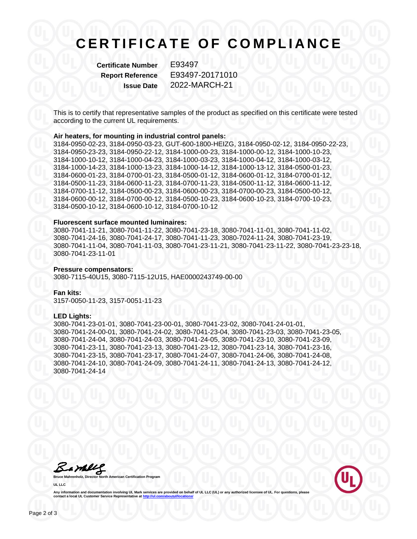## **C E R T I F I C A T E O F C O M P L I A N C E**

**Certificate Number** E93497

**Report Reference** E93497-20171010 **Issue Date** 2022-MARCH-21

This is to certify that representative samples of the product as specified on this certificate were tested according to the current UL requirements.

## **Air heaters, for mounting in industrial control panels:**

3184-0950-02-23, 3184-0950-03-23, GUT-600-1800-HEIZG, 3184-0950-02-12, 3184-0950-22-23, 3184-0950-23-23, 3184-0950-22-12, 3184-1000-00-23, 3184-1000-00-12, 3184-1000-10-23, 3184-1000-10-12, 3184-1000-04-23, 3184-1000-03-23, 3184-1000-04-12, 3184-1000-03-12, 3184-1000-14-23, 3184-1000-13-23, 3184-1000-14-12, 3184-1000-13-12, 3184-0500-01-23, 3184-0600-01-23, 3184-0700-01-23, 3184-0500-01-12, 3184-0600-01-12, 3184-0700-01-12, 3184-0500-11-23, 3184-0600-11-23, 3184-0700-11-23, 3184-0500-11-12, 3184-0600-11-12, 3184-0700-11-12, 3184-0500-00-23, 3184-0600-00-23, 3184-0700-00-23, 3184-0500-00-12, 3184-0600-00-12, 3184-0700-00-12, 3184-0500-10-23, 3184-0600-10-23, 3184-0700-10-23, 3184-0500-10-12, 3184-0600-10-12, 3184-0700-10-12

### **Fluorescent surface mounted luminaires:**

3080-7041-11-21, 3080-7041-11-22, 3080-7041-23-18, 3080-7041-11-01, 3080-7041-11-02, 3080-7041-24-16, 3080-7041-24-17, 3080-7041-11-23, 3080-7024-11-24, 3080-7041-23-19, 3080-7041-11-04, 3080-7041-11-03, 3080-7041-23-11-21, 3080-7041-23-11-22, 3080-7041-23-23-18, 3080-7041-23-11-01

#### **Pressure compensators:**

3080-7115-40U15, 3080-7115-12U15, HAE0000243749-00-00

### **Fan kits:**

3157-0050-11-23, 3157-0051-11-23

### **LED Lights:**

3080-7041-23-01-01, 3080-7041-23-00-01, 3080-7041-23-02, 3080-7041-24-01-01, 3080-7041-24-00-01, 3080-7041-24-02, 3080-7041-23-04, 3080-7041-23-03, 3080-7041-23-05, 3080-7041-24-04, 3080-7041-24-03, 3080-7041-24-05, 3080-7041-23-10, 3080-7041-23-09, 3080-7041-23-11, 3080-7041-23-13, 3080-7041-23-12, 3080-7041-23-14, 3080-7041-23-16, 3080-7041-23-15, 3080-7041-23-17, 3080-7041-24-07, 3080-7041-24-06, 3080-7041-24-08, 3080-7041-24-10, 3080-7041-24-09, 3080-7041-24-11, 3080-7041-24-13, 3080-7041-24-12, 3080-7041-24-14

Bambles

**Bruce Mahrenholz, Director North American Certification Program UL LLC**



Any information and documentation involving UL Mark services are provided on behalf of UL LLC (UL) or any authorized licensee of UL. For questions, please<br>contact a local UL Customer Service Representative at <u>http://ul.co</u>